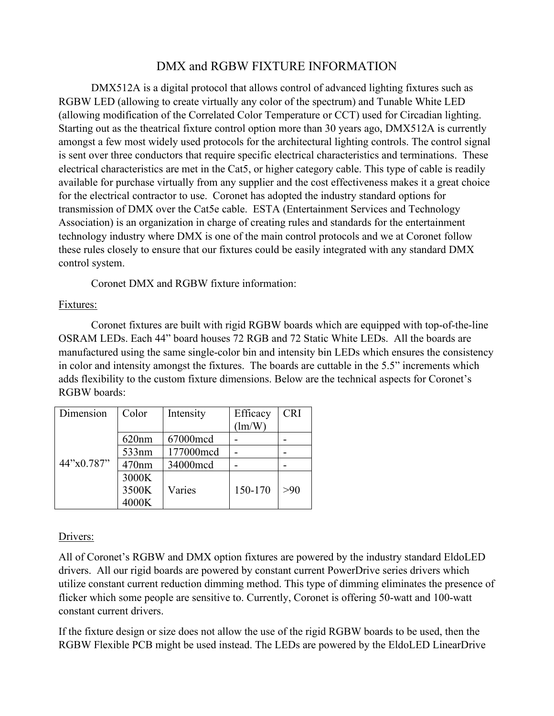# DMX and RGBW FIXTURE INFORMATION

DMX512A is a digital protocol that allows control of advanced lighting fixtures such as RGBW LED (allowing to create virtually any color of the spectrum) and Tunable White LED (allowing modification of the Correlated Color Temperature or CCT) used for Circadian lighting. Starting out as the theatrical fixture control option more than 30 years ago, DMX512A is currently amongst a few most widely used protocols for the architectural lighting controls. The control signal is sent over three conductors that require specific electrical characteristics and terminations. These electrical characteristics are met in the Cat5, or higher category cable. This type of cable is readily available for purchase virtually from any supplier and the cost effectiveness makes it a great choice for the electrical contractor to use. Coronet has adopted the industry standard options for transmission of DMX over the Cat5e cable. ESTA (Entertainment Services and Technology Association) is an organization in charge of creating rules and standards for the entertainment technology industry where DMX is one of the main control protocols and we at Coronet follow these rules closely to ensure that our fixtures could be easily integrated with any standard DMX control system.

Coronet DMX and RGBW fixture information:

### Fixtures:

Coronet fixtures are built with rigid RGBW boards which are equipped with top-of-the-line OSRAM LEDs. Each 44" board houses 72 RGB and 72 Static White LEDs. All the boards are manufactured using the same single-color bin and intensity bin LEDs which ensures the consistency in color and intensity amongst the fixtures. The boards are cuttable in the 5.5" increments which adds flexibility to the custom fixture dimensions. Below are the technical aspects for Coronet's RGBW boards:

| Dimension    | Color | Intensity | Efficacy | <b>CRI</b> |
|--------------|-------|-----------|----------|------------|
| 44''x0.787'' |       |           | (lm/W)   |            |
|              | 620nm | 67000mcd  |          |            |
|              | 533nm | 177000mcd |          |            |
|              | 470nm | 34000mcd  |          |            |
|              | 3000K |           |          |            |
|              | 3500K | Varies    | 150-170  | >90        |
|              | 4000K |           |          |            |

### Drivers:

All of Coronet's RGBW and DMX option fixtures are powered by the industry standard EldoLED drivers. All our rigid boards are powered by constant current PowerDrive series drivers which utilize constant current reduction dimming method. This type of dimming eliminates the presence of flicker which some people are sensitive to. Currently, Coronet is offering 50-watt and 100-watt constant current drivers.

If the fixture design or size does not allow the use of the rigid RGBW boards to be used, then the RGBW Flexible PCB might be used instead. The LEDs are powered by the EldoLED LinearDrive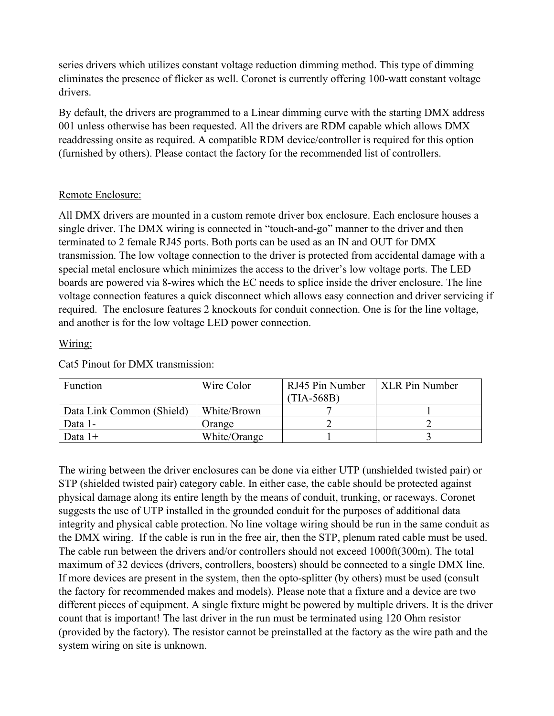series drivers which utilizes constant voltage reduction dimming method. This type of dimming eliminates the presence of flicker as well. Coronet is currently offering 100-watt constant voltage drivers.

By default, the drivers are programmed to a Linear dimming curve with the starting DMX address 001 unless otherwise has been requested. All the drivers are RDM capable which allows DMX readdressing onsite as required. A compatible RDM device/controller is required for this option (furnished by others). Please contact the factory for the recommended list of controllers.

# Remote Enclosure:

All DMX drivers are mounted in a custom remote driver box enclosure. Each enclosure houses a single driver. The DMX wiring is connected in "touch-and-go" manner to the driver and then terminated to 2 female RJ45 ports. Both ports can be used as an IN and OUT for DMX transmission. The low voltage connection to the driver is protected from accidental damage with a special metal enclosure which minimizes the access to the driver's low voltage ports. The LED boards are powered via 8-wires which the EC needs to splice inside the driver enclosure. The line voltage connection features a quick disconnect which allows easy connection and driver servicing if required. The enclosure features 2 knockouts for conduit connection. One is for the line voltage, and another is for the low voltage LED power connection.

# Wiring:

| Function                  | Wire Color   | RJ45 Pin Number<br>$(TIA-568B)$ | XLR Pin Number |
|---------------------------|--------------|---------------------------------|----------------|
| Data Link Common (Shield) | White/Brown  |                                 |                |
| Data 1-                   | Orange       |                                 |                |
| Data 1+                   | White/Orange |                                 |                |

Cat5 Pinout for DMX transmission:

The wiring between the driver enclosures can be done via either UTP (unshielded twisted pair) or STP (shielded twisted pair) category cable. In either case, the cable should be protected against physical damage along its entire length by the means of conduit, trunking, or raceways. Coronet suggests the use of UTP installed in the grounded conduit for the purposes of additional data integrity and physical cable protection. No line voltage wiring should be run in the same conduit as the DMX wiring. If the cable is run in the free air, then the STP, plenum rated cable must be used. The cable run between the drivers and/or controllers should not exceed 1000ft(300m). The total maximum of 32 devices (drivers, controllers, boosters) should be connected to a single DMX line. If more devices are present in the system, then the opto-splitter (by others) must be used (consult the factory for recommended makes and models). Please note that a fixture and a device are two different pieces of equipment. A single fixture might be powered by multiple drivers. It is the driver count that is important! The last driver in the run must be terminated using 120 Ohm resistor (provided by the factory). The resistor cannot be preinstalled at the factory as the wire path and the system wiring on site is unknown.